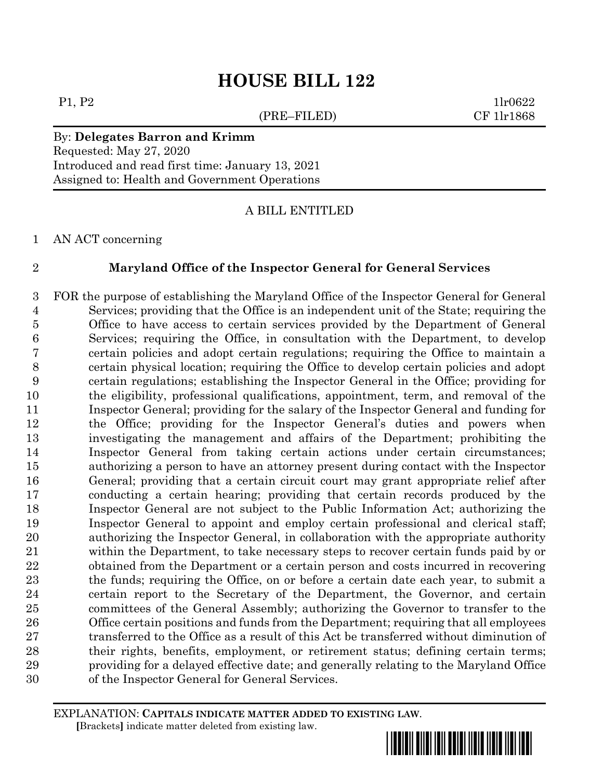# **HOUSE BILL 122**

(PRE–FILED) CF 1lr1868

 $P1, P2$  1lr0622

# By: **Delegates Barron and Krimm**

Requested: May 27, 2020 Introduced and read first time: January 13, 2021 Assigned to: Health and Government Operations

A BILL ENTITLED

AN ACT concerning

# **Maryland Office of the Inspector General for General Services**

 FOR the purpose of establishing the Maryland Office of the Inspector General for General Services; providing that the Office is an independent unit of the State; requiring the Office to have access to certain services provided by the Department of General Services; requiring the Office, in consultation with the Department, to develop certain policies and adopt certain regulations; requiring the Office to maintain a certain physical location; requiring the Office to develop certain policies and adopt certain regulations; establishing the Inspector General in the Office; providing for the eligibility, professional qualifications, appointment, term, and removal of the Inspector General; providing for the salary of the Inspector General and funding for the Office; providing for the Inspector General's duties and powers when investigating the management and affairs of the Department; prohibiting the Inspector General from taking certain actions under certain circumstances; authorizing a person to have an attorney present during contact with the Inspector General; providing that a certain circuit court may grant appropriate relief after conducting a certain hearing; providing that certain records produced by the Inspector General are not subject to the Public Information Act; authorizing the Inspector General to appoint and employ certain professional and clerical staff; authorizing the Inspector General, in collaboration with the appropriate authority within the Department, to take necessary steps to recover certain funds paid by or obtained from the Department or a certain person and costs incurred in recovering the funds; requiring the Office, on or before a certain date each year, to submit a certain report to the Secretary of the Department, the Governor, and certain committees of the General Assembly; authorizing the Governor to transfer to the Office certain positions and funds from the Department; requiring that all employees transferred to the Office as a result of this Act be transferred without diminution of their rights, benefits, employment, or retirement status; defining certain terms; providing for a delayed effective date; and generally relating to the Maryland Office of the Inspector General for General Services.

EXPLANATION: **CAPITALS INDICATE MATTER ADDED TO EXISTING LAW**.  **[**Brackets**]** indicate matter deleted from existing law.

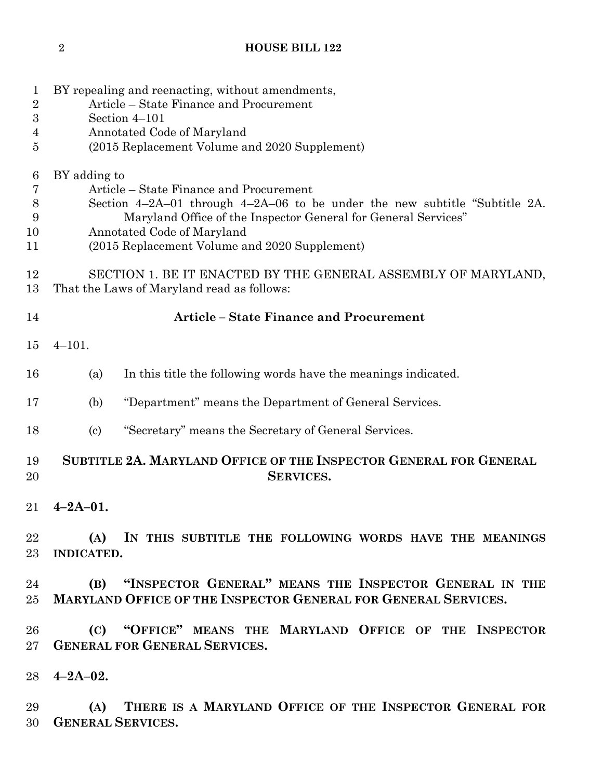# **HOUSE BILL 122**

| 1<br>$\overline{2}$ | BY repealing and reenacting, without amendments,<br>Article – State Finance and Procurement                 |                                                                       |  |  |
|---------------------|-------------------------------------------------------------------------------------------------------------|-----------------------------------------------------------------------|--|--|
| $\boldsymbol{3}$    | Section 4-101                                                                                               |                                                                       |  |  |
| 4                   | Annotated Code of Maryland                                                                                  |                                                                       |  |  |
| 5                   |                                                                                                             | (2015 Replacement Volume and 2020 Supplement)                         |  |  |
| 6                   | BY adding to                                                                                                |                                                                       |  |  |
| 7                   | Article – State Finance and Procurement                                                                     |                                                                       |  |  |
| $8\,$               | Section $4-2A-01$ through $4-2A-06$ to be under the new subtitle "Subtitle 2A.                              |                                                                       |  |  |
| 9                   | Maryland Office of the Inspector General for General Services"                                              |                                                                       |  |  |
| 10                  | Annotated Code of Maryland                                                                                  |                                                                       |  |  |
| 11                  |                                                                                                             | (2015 Replacement Volume and 2020 Supplement)                         |  |  |
| 12<br>13            | SECTION 1. BE IT ENACTED BY THE GENERAL ASSEMBLY OF MARYLAND,<br>That the Laws of Maryland read as follows: |                                                                       |  |  |
| 14                  | <b>Article - State Finance and Procurement</b>                                                              |                                                                       |  |  |
| 15                  | $4 - 101.$                                                                                                  |                                                                       |  |  |
| 16                  | (a)                                                                                                         | In this title the following words have the meanings indicated.        |  |  |
| 17                  | (b)                                                                                                         | "Department" means the Department of General Services.                |  |  |
| 18                  | $\left( \text{c} \right)$                                                                                   | "Secretary" means the Secretary of General Services.                  |  |  |
| 19<br>20            | SUBTITLE 2A. MARYLAND OFFICE OF THE INSPECTOR GENERAL FOR GENERAL<br><b>SERVICES.</b>                       |                                                                       |  |  |
| 21                  | $4 - 2A - 01.$                                                                                              |                                                                       |  |  |
| 22                  |                                                                                                             | (A) IN THIS SUBTITLE THE FOLLOWING WORDS HAVE THE MEANINGS            |  |  |
| 23                  | <b>INDICATED.</b>                                                                                           |                                                                       |  |  |
|                     | 24 and $\overline{a}$                                                                                       | (B) "INSPECTOR GENERAL" MEANS THE INSPECTOR GENERAL IN THE            |  |  |
| 25                  |                                                                                                             | <b>MARYLAND OFFICE OF THE INSPECTOR GENERAL FOR GENERAL SERVICES.</b> |  |  |
| 26                  |                                                                                                             | (C) "OFFICE" MEANS THE MARYLAND OFFICE OF THE INSPECTOR               |  |  |
| 27                  |                                                                                                             | <b>GENERAL FOR GENERAL SERVICES.</b>                                  |  |  |
|                     | $28$ 4-2A-02.                                                                                               |                                                                       |  |  |
| 29                  |                                                                                                             | (A) THERE IS A MARYLAND OFFICE OF THE INSPECTOR GENERAL FOR           |  |  |
| 30                  |                                                                                                             | <b>GENERAL SERVICES.</b>                                              |  |  |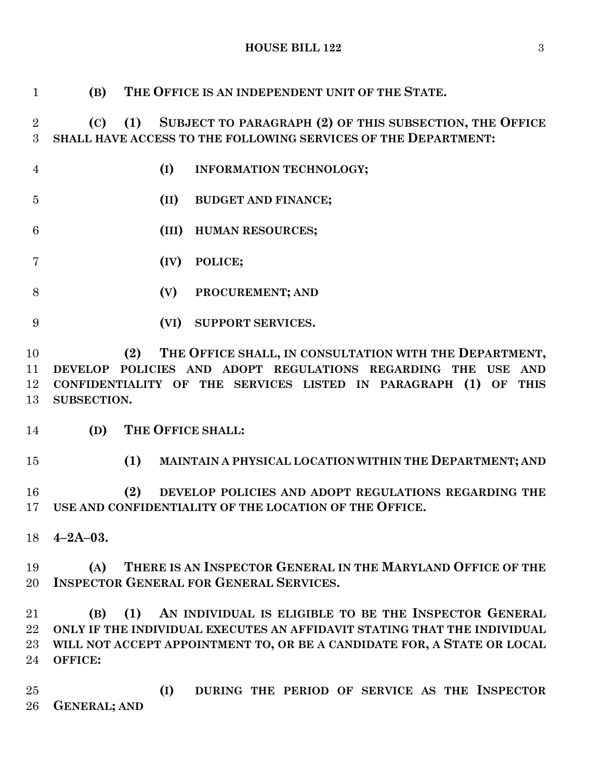**HOUSE BILL 122** 3

| $\mathbf{1}$   | (B)                 | THE OFFICE IS AN INDEPENDENT UNIT OF THE STATE.                                                                       |
|----------------|---------------------|-----------------------------------------------------------------------------------------------------------------------|
| $\overline{2}$ | (C)                 | SUBJECT TO PARAGRAPH (2) OF THIS SUBSECTION, THE OFFICE<br>(1)                                                        |
| 3              |                     | SHALL HAVE ACCESS TO THE FOLLOWING SERVICES OF THE DEPARTMENT:                                                        |
| $\overline{4}$ |                     | (I)<br>INFORMATION TECHNOLOGY;                                                                                        |
| $\overline{5}$ |                     | (II)<br><b>BUDGET AND FINANCE;</b>                                                                                    |
| 6              |                     | (III)<br><b>HUMAN RESOURCES;</b>                                                                                      |
| 7              |                     | (IV)<br>POLICE;                                                                                                       |
| 8              |                     | (V)<br>PROCUREMENT; AND                                                                                               |
| 9              |                     | (VI)<br><b>SUPPORT SERVICES.</b>                                                                                      |
| 10             |                     | THE OFFICE SHALL, IN CONSULTATION WITH THE DEPARTMENT,<br>(2)                                                         |
| 11             |                     | DEVELOP POLICIES AND ADOPT REGULATIONS REGARDING THE USE AND                                                          |
| 12             |                     | CONFIDENTIALITY OF THE SERVICES LISTED IN PARAGRAPH (1) OF THIS                                                       |
| 13             | SUBSECTION.         |                                                                                                                       |
| 14             | (D)                 | THE OFFICE SHALL:                                                                                                     |
| 15             |                     | (1)<br>MAINTAIN A PHYSICAL LOCATION WITHIN THE DEPARTMENT; AND                                                        |
| 16<br>17       |                     | (2)<br>DEVELOP POLICIES AND ADOPT REGULATIONS REGARDING THE<br>USE AND CONFIDENTIALITY OF THE LOCATION OF THE OFFICE. |
|                |                     |                                                                                                                       |
| 18             | $4 - 2A - 03.$      |                                                                                                                       |
| 19             | (A)                 | THERE IS AN INSPECTOR GENERAL IN THE MARYLAND OFFICE OF THE                                                           |
| 20             |                     | <b>INSPECTOR GENERAL FOR GENERAL SERVICES.</b>                                                                        |
| 21             | (B)                 | AN INDIVIDUAL IS ELIGIBLE TO BE THE INSPECTOR GENERAL<br>(1)                                                          |
| 22             |                     | ONLY IF THE INDIVIDUAL EXECUTES AN AFFIDAVIT STATING THAT THE INDIVIDUAL                                              |
| 23             |                     | WILL NOT ACCEPT APPOINTMENT TO, OR BE A CANDIDATE FOR, A STATE OR LOCAL                                               |
| 24             | OFFICE:             |                                                                                                                       |
| 25             |                     | DURING THE PERIOD OF SERVICE AS THE INSPECTOR<br>(I)                                                                  |
| 26             | <b>GENERAL; AND</b> |                                                                                                                       |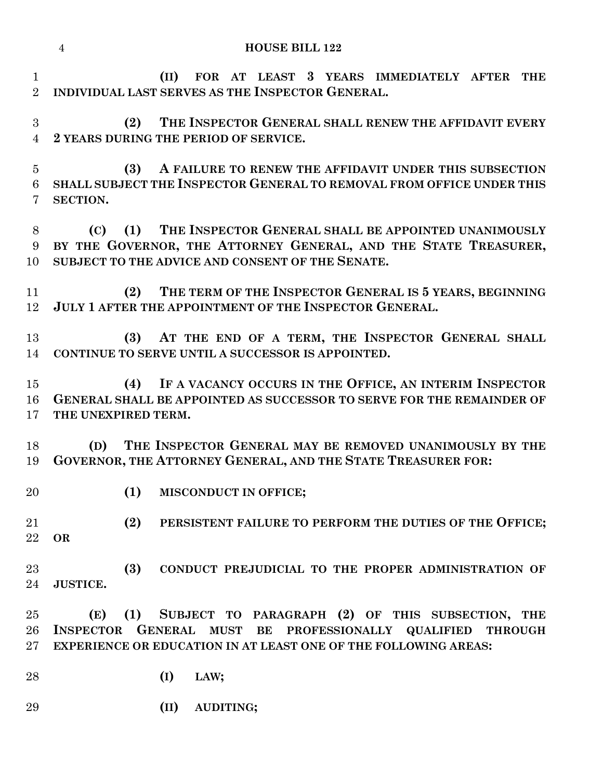|                                | <b>HOUSE BILL 122</b><br>$\overline{4}$                                                                                                                                                             |
|--------------------------------|-----------------------------------------------------------------------------------------------------------------------------------------------------------------------------------------------------|
| $\mathbf{1}$<br>$\overline{2}$ | FOR AT LEAST 3 YEARS IMMEDIATELY AFTER<br>(II)<br><b>THE</b><br>INDIVIDUAL LAST SERVES AS THE INSPECTOR GENERAL.                                                                                    |
| 3<br>$\overline{4}$            | THE INSPECTOR GENERAL SHALL RENEW THE AFFIDAVIT EVERY<br>(2)<br>2 YEARS DURING THE PERIOD OF SERVICE.                                                                                               |
| $\overline{5}$<br>6<br>7       | A FAILURE TO RENEW THE AFFIDAVIT UNDER THIS SUBSECTION<br>(3)<br>SHALL SUBJECT THE INSPECTOR GENERAL TO REMOVAL FROM OFFICE UNDER THIS<br>SECTION.                                                  |
| 8<br>9<br>10                   | THE INSPECTOR GENERAL SHALL BE APPOINTED UNANIMOUSLY<br>(C)<br>(1)<br>BY THE GOVERNOR, THE ATTORNEY GENERAL, AND THE STATE TREASURER,<br>SUBJECT TO THE ADVICE AND CONSENT OF THE SENATE.           |
| 11<br>12                       | THE TERM OF THE INSPECTOR GENERAL IS 5 YEARS, BEGINNING<br>(2)<br>JULY 1 AFTER THE APPOINTMENT OF THE INSPECTOR GENERAL.                                                                            |
| 13<br>14                       | AT THE END OF A TERM, THE INSPECTOR GENERAL SHALL<br>(3)<br>CONTINUE TO SERVE UNTIL A SUCCESSOR IS APPOINTED.                                                                                       |
| 15<br>16<br>17                 | IF A VACANCY OCCURS IN THE OFFICE, AN INTERIM INSPECTOR<br>(4)<br>GENERAL SHALL BE APPOINTED AS SUCCESSOR TO SERVE FOR THE REMAINDER OF<br>THE UNEXPIRED TERM.                                      |
| 18<br>19                       | THE INSPECTOR GENERAL MAY BE REMOVED UNANIMOUSLY BY THE<br>(D)<br>GOVERNOR, THE ATTORNEY GENERAL, AND THE STATE TREASURER FOR:                                                                      |
| 20                             | (1)<br>MISCONDUCT IN OFFICE;                                                                                                                                                                        |
| 21<br>22                       | (2)<br>PERSISTENT FAILURE TO PERFORM THE DUTIES OF THE OFFICE;<br><b>OR</b>                                                                                                                         |
| $23\,$<br>24                   | (3)<br>CONDUCT PREJUDICIAL TO THE PROPER ADMINISTRATION OF<br><b>JUSTICE.</b>                                                                                                                       |
| $25\,$<br>26<br>$27\,$         | (1) SUBJECT TO PARAGRAPH (2) OF THIS SUBSECTION, THE<br>(E)<br>INSPECTOR GENERAL MUST BE PROFESSIONALLY QUALIFIED THROUGH<br><b>EXPERIENCE OR EDUCATION IN AT LEAST ONE OF THE FOLLOWING AREAS:</b> |
| 28                             | (I)<br>LAW;                                                                                                                                                                                         |
| 29                             | (II)<br>AUDITING;                                                                                                                                                                                   |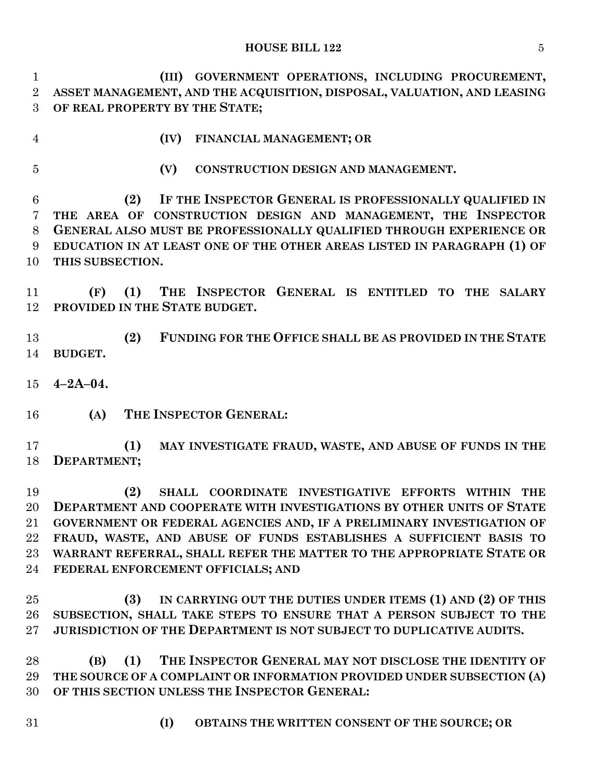## **HOUSE BILL 122** 5

 **(III) GOVERNMENT OPERATIONS, INCLUDING PROCUREMENT, ASSET MANAGEMENT, AND THE ACQUISITION, DISPOSAL, VALUATION, AND LEASING OF REAL PROPERTY BY THE STATE;**

- 
- **(IV) FINANCIAL MANAGEMENT; OR**
- 
- **(V) CONSTRUCTION DESIGN AND MANAGEMENT.**

 **(2) IF THE INSPECTOR GENERAL IS PROFESSIONALLY QUALIFIED IN THE AREA OF CONSTRUCTION DESIGN AND MANAGEMENT, THE INSPECTOR GENERAL ALSO MUST BE PROFESSIONALLY QUALIFIED THROUGH EXPERIENCE OR EDUCATION IN AT LEAST ONE OF THE OTHER AREAS LISTED IN PARAGRAPH (1) OF THIS SUBSECTION.**

 **(F) (1) THE INSPECTOR GENERAL IS ENTITLED TO THE SALARY PROVIDED IN THE STATE BUDGET.**

 **(2) FUNDING FOR THE OFFICE SHALL BE AS PROVIDED IN THE STATE BUDGET.**

- **4–2A–04.**
- **(A) THE INSPECTOR GENERAL:**

 **(1) MAY INVESTIGATE FRAUD, WASTE, AND ABUSE OF FUNDS IN THE DEPARTMENT;**

 **(2) SHALL COORDINATE INVESTIGATIVE EFFORTS WITHIN THE DEPARTMENT AND COOPERATE WITH INVESTIGATIONS BY OTHER UNITS OF STATE GOVERNMENT OR FEDERAL AGENCIES AND, IF A PRELIMINARY INVESTIGATION OF FRAUD, WASTE, AND ABUSE OF FUNDS ESTABLISHES A SUFFICIENT BASIS TO WARRANT REFERRAL, SHALL REFER THE MATTER TO THE APPROPRIATE STATE OR FEDERAL ENFORCEMENT OFFICIALS; AND**

 **(3) IN CARRYING OUT THE DUTIES UNDER ITEMS (1) AND (2) OF THIS SUBSECTION, SHALL TAKE STEPS TO ENSURE THAT A PERSON SUBJECT TO THE JURISDICTION OF THE DEPARTMENT IS NOT SUBJECT TO DUPLICATIVE AUDITS.**

 **(B) (1) THE INSPECTOR GENERAL MAY NOT DISCLOSE THE IDENTITY OF THE SOURCE OF A COMPLAINT OR INFORMATION PROVIDED UNDER SUBSECTION (A) OF THIS SECTION UNLESS THE INSPECTOR GENERAL:**

- 
- **(I) OBTAINS THE WRITTEN CONSENT OF THE SOURCE; OR**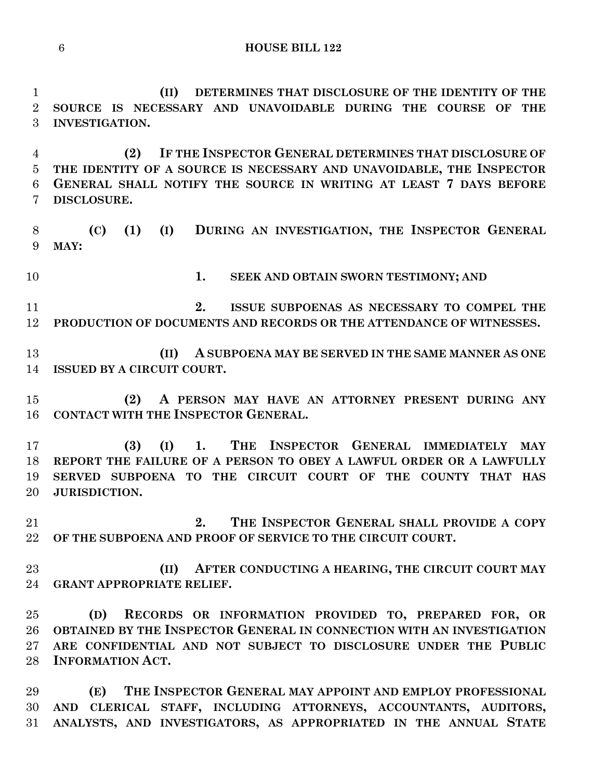**(II) DETERMINES THAT DISCLOSURE OF THE IDENTITY OF THE SOURCE IS NECESSARY AND UNAVOIDABLE DURING THE COURSE OF THE INVESTIGATION.**

 **(2) IF THE INSPECTOR GENERAL DETERMINES THAT DISCLOSURE OF THE IDENTITY OF A SOURCE IS NECESSARY AND UNAVOIDABLE, THE INSPECTOR GENERAL SHALL NOTIFY THE SOURCE IN WRITING AT LEAST 7 DAYS BEFORE DISCLOSURE.**

 **(C) (1) (I) DURING AN INVESTIGATION, THE INSPECTOR GENERAL MAY:**

**1. SEEK AND OBTAIN SWORN TESTIMONY; AND**

 **2. ISSUE SUBPOENAS AS NECESSARY TO COMPEL THE PRODUCTION OF DOCUMENTS AND RECORDS OR THE ATTENDANCE OF WITNESSES.**

 **(II) A SUBPOENA MAY BE SERVED IN THE SAME MANNER AS ONE ISSUED BY A CIRCUIT COURT.**

 **(2) A PERSON MAY HAVE AN ATTORNEY PRESENT DURING ANY CONTACT WITH THE INSPECTOR GENERAL.**

 **(3) (I) 1. THE INSPECTOR GENERAL IMMEDIATELY MAY REPORT THE FAILURE OF A PERSON TO OBEY A LAWFUL ORDER OR A LAWFULLY SERVED SUBPOENA TO THE CIRCUIT COURT OF THE COUNTY THAT HAS JURISDICTION.**

 **2. THE INSPECTOR GENERAL SHALL PROVIDE A COPY OF THE SUBPOENA AND PROOF OF SERVICE TO THE CIRCUIT COURT.**

 **(II) AFTER CONDUCTING A HEARING, THE CIRCUIT COURT MAY GRANT APPROPRIATE RELIEF.**

 **(D) RECORDS OR INFORMATION PROVIDED TO, PREPARED FOR, OR OBTAINED BY THE INSPECTOR GENERAL IN CONNECTION WITH AN INVESTIGATION ARE CONFIDENTIAL AND NOT SUBJECT TO DISCLOSURE UNDER THE PUBLIC INFORMATION ACT.**

 **(E) THE INSPECTOR GENERAL MAY APPOINT AND EMPLOY PROFESSIONAL AND CLERICAL STAFF, INCLUDING ATTORNEYS, ACCOUNTANTS, AUDITORS, ANALYSTS, AND INVESTIGATORS, AS APPROPRIATED IN THE ANNUAL STATE**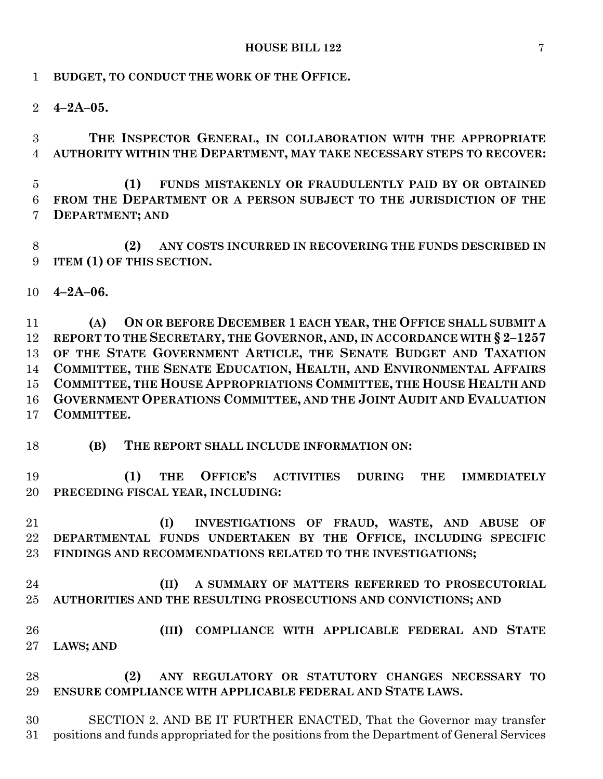**BUDGET, TO CONDUCT THE WORK OF THE OFFICE.**

**4–2A–05.**

 **THE INSPECTOR GENERAL, IN COLLABORATION WITH THE APPROPRIATE AUTHORITY WITHIN THE DEPARTMENT, MAY TAKE NECESSARY STEPS TO RECOVER:**

 **(1) FUNDS MISTAKENLY OR FRAUDULENTLY PAID BY OR OBTAINED FROM THE DEPARTMENT OR A PERSON SUBJECT TO THE JURISDICTION OF THE DEPARTMENT; AND**

 **(2) ANY COSTS INCURRED IN RECOVERING THE FUNDS DESCRIBED IN ITEM (1) OF THIS SECTION.**

**4–2A–06.**

 **(A) ON OR BEFORE DECEMBER 1 EACH YEAR, THE OFFICE SHALL SUBMIT A REPORT TO THE SECRETARY, THE GOVERNOR, AND, IN ACCORDANCE WITH § 2–1257 OF THE STATE GOVERNMENT ARTICLE, THE SENATE BUDGET AND TAXATION COMMITTEE, THE SENATE EDUCATION, HEALTH, AND ENVIRONMENTAL AFFAIRS COMMITTEE, THE HOUSE APPROPRIATIONS COMMITTEE, THE HOUSE HEALTH AND GOVERNMENT OPERATIONS COMMITTEE, AND THE JOINT AUDIT AND EVALUATION COMMITTEE.**

**(B) THE REPORT SHALL INCLUDE INFORMATION ON:**

 **(1) THE OFFICE'S ACTIVITIES DURING THE IMMEDIATELY PRECEDING FISCAL YEAR, INCLUDING:**

 **(I) INVESTIGATIONS OF FRAUD, WASTE, AND ABUSE OF DEPARTMENTAL FUNDS UNDERTAKEN BY THE OFFICE, INCLUDING SPECIFIC FINDINGS AND RECOMMENDATIONS RELATED TO THE INVESTIGATIONS;**

- **(II) A SUMMARY OF MATTERS REFERRED TO PROSECUTORIAL AUTHORITIES AND THE RESULTING PROSECUTIONS AND CONVICTIONS; AND**
- **(III) COMPLIANCE WITH APPLICABLE FEDERAL AND STATE LAWS; AND**

 **(2) ANY REGULATORY OR STATUTORY CHANGES NECESSARY TO ENSURE COMPLIANCE WITH APPLICABLE FEDERAL AND STATE LAWS.**

 SECTION 2. AND BE IT FURTHER ENACTED, That the Governor may transfer positions and funds appropriated for the positions from the Department of General Services